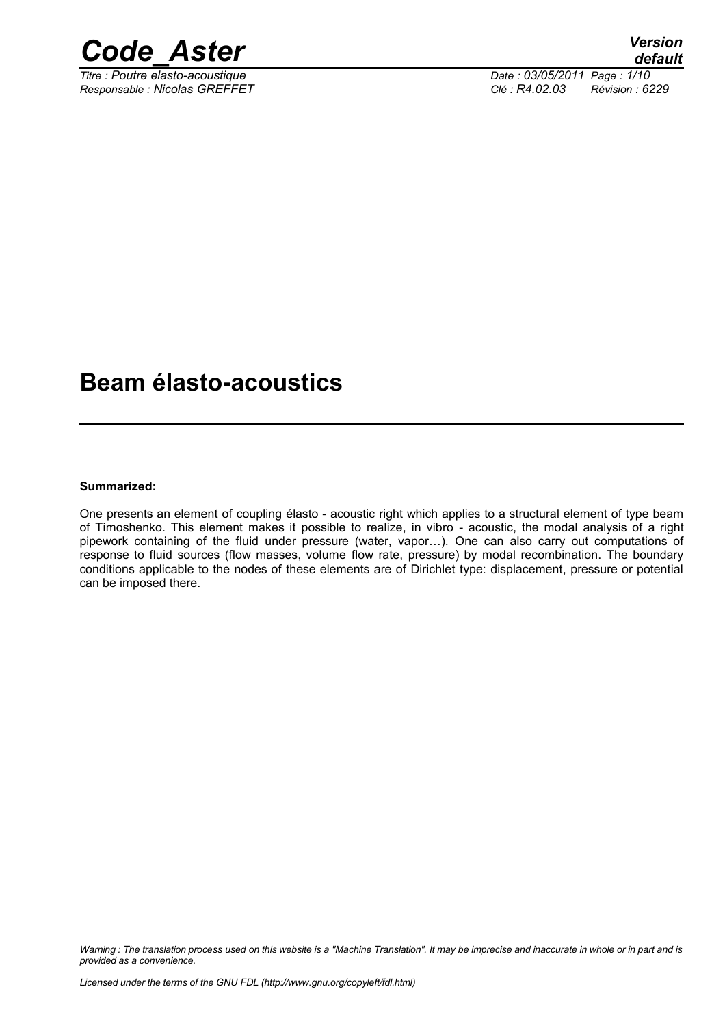

*Titre : Poutre elasto-acoustique Date : 03/05/2011 Page : 1/10 Responsable : Nicolas GREFFET Clé : R4.02.03 Révision : 6229*

# **Beam élasto-acoustics**

#### **Summarized:**

One presents an element of coupling élasto - acoustic right which applies to a structural element of type beam of Timoshenko. This element makes it possible to realize, in vibro - acoustic, the modal analysis of a right pipework containing of the fluid under pressure (water, vapor…). One can also carry out computations of response to fluid sources (flow masses, volume flow rate, pressure) by modal recombination. The boundary conditions applicable to the nodes of these elements are of Dirichlet type: displacement, pressure or potential can be imposed there.

*Warning : The translation process used on this website is a "Machine Translation". It may be imprecise and inaccurate in whole or in part and is provided as a convenience.*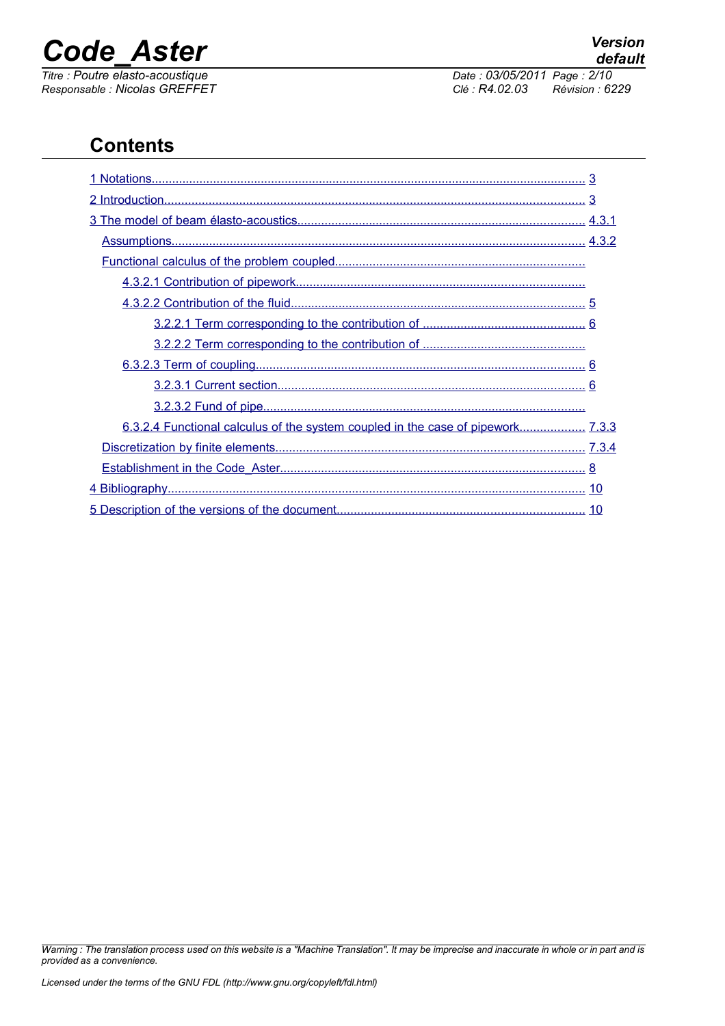

*Titre : Poutre elasto-acoustique Date : 03/05/2014 Date : 03/05/2014 Date : 03/05/2014 Page : 03/05/2014 Page : 03/05/2014 Page : 03/05/2014 Page : 03/05/2014 Page : 03/05/2014 Page : 02.03 Responsable : Nicolas GREFFET Clé : R4.02.03 Révision : 6229*

# **Contents**

| 6.3.2.4 Functional calculus of the system coupled in the case of pipework 7.3.3 |  |
|---------------------------------------------------------------------------------|--|
|                                                                                 |  |
|                                                                                 |  |
|                                                                                 |  |
|                                                                                 |  |

*Warning : The translation process used on this website is a "Machine Translation". It may be imprecise and inaccurate in whole or in part and is provided as a convenience.*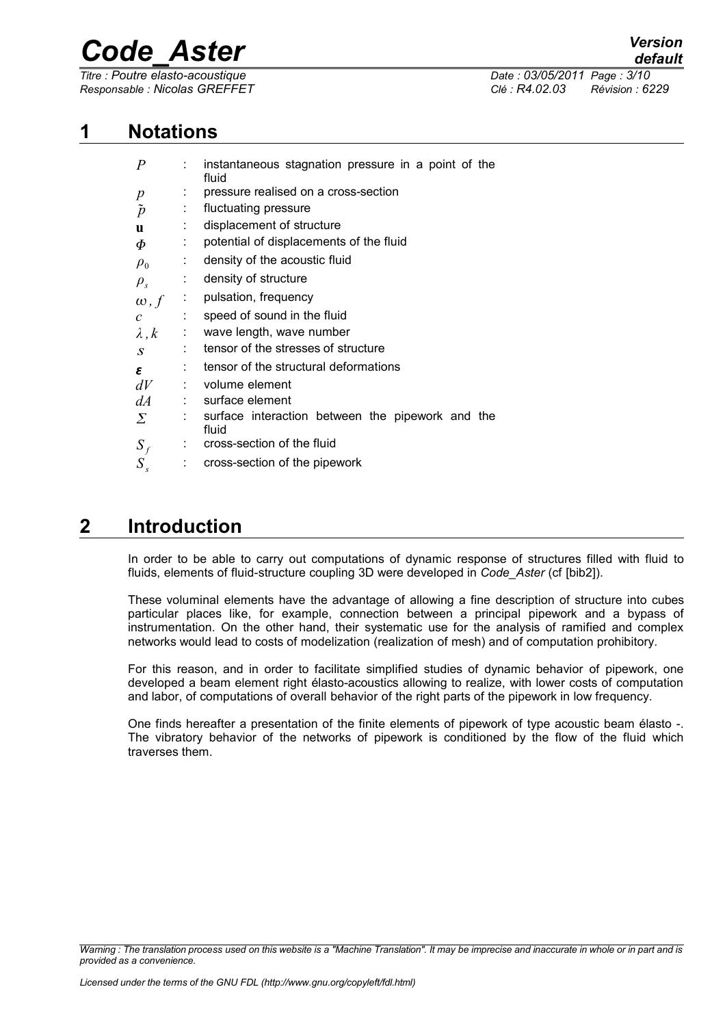*Titre : Poutre elasto-acoustique Date : 03/05/2011 Page : 3/10 Responsable : Nicolas GREFFET Clé : R4.02.03 Révision : 6229*

## **1 Notations**

<span id="page-2-0"></span>

| $\boldsymbol{P}$ |   | instantaneous stagnation pressure in a point of the<br>fluid |  |  |
|------------------|---|--------------------------------------------------------------|--|--|
| $\boldsymbol{p}$ |   | pressure realised on a cross-section                         |  |  |
| $\tilde{p}$      | ÷ | fluctuating pressure                                         |  |  |
| $\mathbf{u}$     |   | displacement of structure                                    |  |  |
| Ф                |   | potential of displacements of the fluid                      |  |  |
| $\rho_0$         |   | density of the acoustic fluid                                |  |  |
| $\rho_{s}$       |   | density of structure                                         |  |  |
| $\omega$ , $f$   |   | pulsation, frequency                                         |  |  |
| $\mathcal{C}$    |   | speed of sound in the fluid                                  |  |  |
| $\lambda, k$     |   | wave length, wave number                                     |  |  |
| $\boldsymbol{S}$ |   | tensor of the stresses of structure                          |  |  |
| ε                |   | tensor of the structural deformations                        |  |  |
| dV               |   | volume element                                               |  |  |
| dA               |   | surface element                                              |  |  |
| Σ                |   | surface interaction between the pipework and the<br>fluid    |  |  |
| $S_f$            |   | cross-section of the fluid                                   |  |  |
| $S_{s}$          | ÷ | cross-section of the pipework                                |  |  |

## **2 Introduction**

<span id="page-2-1"></span>In order to be able to carry out computations of dynamic response of structures filled with fluid to fluids, elements of fluid-structure coupling 3D were developed in *Code\_Aster* (cf [bib2]).

These voluminal elements have the advantage of allowing a fine description of structure into cubes particular places like, for example, connection between a principal pipework and a bypass of instrumentation. On the other hand, their systematic use for the analysis of ramified and complex networks would lead to costs of modelization (realization of mesh) and of computation prohibitory.

For this reason, and in order to facilitate simplified studies of dynamic behavior of pipework, one developed a beam element right élasto-acoustics allowing to realize, with lower costs of computation and labor, of computations of overall behavior of the right parts of the pipework in low frequency.

One finds hereafter a presentation of the finite elements of pipework of type acoustic beam élasto -. The vibratory behavior of the networks of pipework is conditioned by the flow of the fluid which traverses them.

*Warning : The translation process used on this website is a "Machine Translation". It may be imprecise and inaccurate in whole or in part and is provided as a convenience.*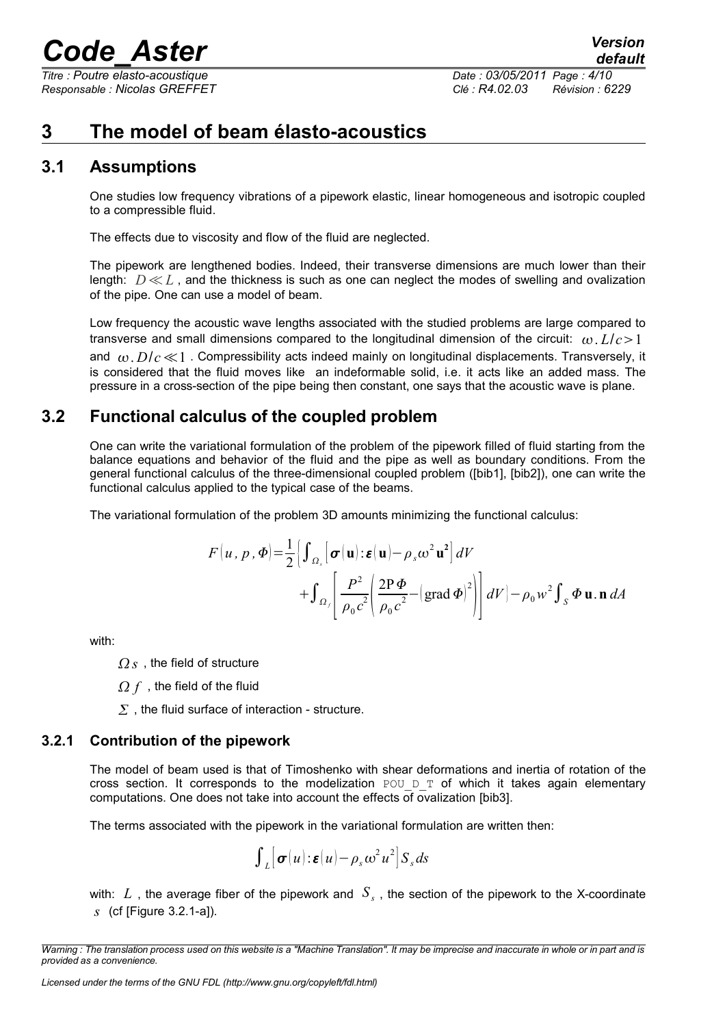*Titre : Poutre elasto-acoustique Date : 03/05/2011 Page : 4/10 Responsable : Nicolas GREFFET Clé : R4.02.03 Révision : 6229*

## <span id="page-3-3"></span>**3 The model of beam élasto-acoustics**

### **3.1 Assumptions**

<span id="page-3-2"></span>One studies low frequency vibrations of a pipework elastic, linear homogeneous and isotropic coupled to a compressible fluid.

The effects due to viscosity and flow of the fluid are neglected.

The pipework are lengthened bodies. Indeed, their transverse dimensions are much lower than their length: *D*≪*L* , and the thickness is such as one can neglect the modes of swelling and ovalization of the pipe. One can use a model of beam.

Low frequency the acoustic wave lengths associated with the studied problems are large compared to transverse and small dimensions compared to the longitudinal dimension of the circuit:  $\omega L/c > 1$ and  $\omega$ ,  $D/c \ll 1$ . Compressibility acts indeed mainly on longitudinal displacements. Transversely, it is considered that the fluid moves like an indeformable solid, i.e. it acts like an added mass. The pressure in a cross-section of the pipe being then constant, one says that the acoustic wave is plane.

## **3.2 Functional calculus of the coupled problem**

<span id="page-3-1"></span>One can write the variational formulation of the problem of the pipework filled of fluid starting from the balance equations and behavior of the fluid and the pipe as well as boundary conditions. From the general functional calculus of the three-dimensional coupled problem ([bib1], [bib2]), one can write the functional calculus applied to the typical case of the beams.

The variational formulation of the problem 3D amounts minimizing the functional calculus:

$$
F(u, p, \Phi) = \frac{1}{2} \Biggl[ \int_{\Omega_s} \Biggl[ \sigma(u) : \varepsilon(u) - \rho_s \omega^2 u^2 \Biggr] dV + \int_{\Omega_f} \Biggl[ \frac{P^2}{\rho_0 c^2} \Biggl( \frac{2P \Phi}{\rho_0 c^2} - \Biggl( \text{grad } \Phi \Biggr)^2 \Biggr) \Biggr] dV \Biggr] - \rho_0 w^2 \int_S \Phi \mathbf{u} . \mathbf{n} \, dA
$$

with:

*<i>s* , the field of structure

 $\Omega$  f, the field of the fluid

 $\Sigma$ , the fluid surface of interaction - structure.

### **3.2.1 Contribution of the pipework**

<span id="page-3-0"></span>The model of beam used is that of Timoshenko with shear deformations and inertia of rotation of the cross section. It corresponds to the modelization POU D T of which it takes again elementary computations. One does not take into account the effects of ovalization [bib3].

The terms associated with the pipework in the variational formulation are written then:

$$
\int_{L} [\sigma(u) : \varepsilon(u) - \rho_s \omega^2 u^2] S_s ds
$$

with:  $L$  , the average fiber of the pipework and  $|S_{s}|$ , the section of the pipework to the X-coordinate *s* (cf [Figure 3.2.1-a]).

*Warning : The translation process used on this website is a "Machine Translation". It may be imprecise and inaccurate in whole or in part and is provided as a convenience.*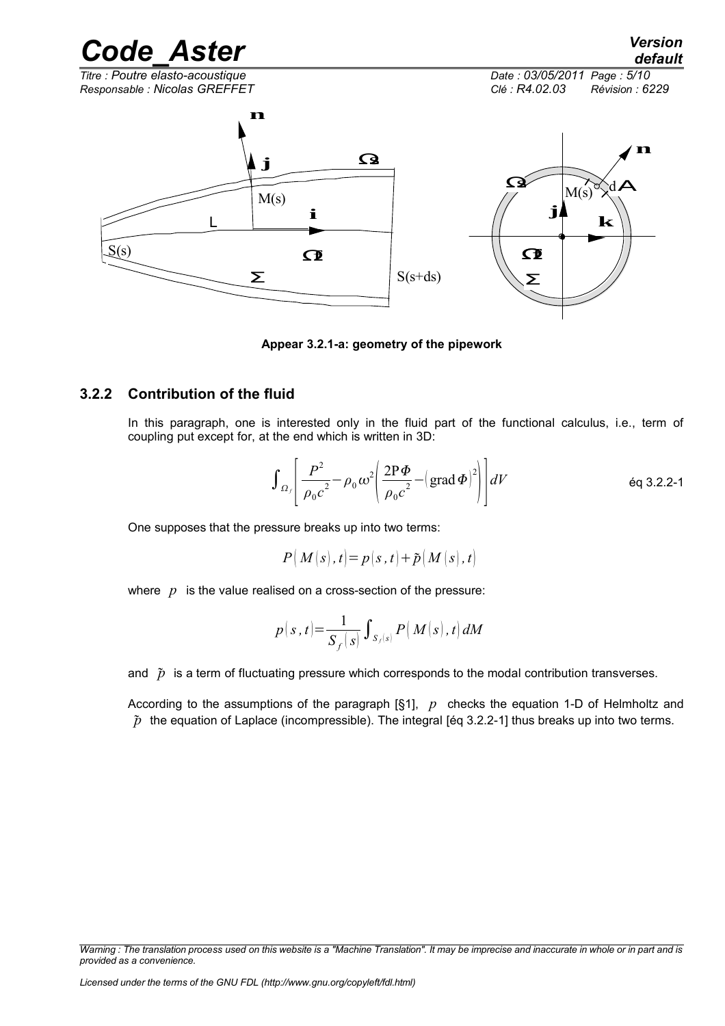*Titre : Poutre elasto-acoustique Date : 03/05/2011 Page : 5/10 Responsable : Nicolas GREFFET Clé : R4.02.03 Révision : 6229*



**Appear 3.2.1-a: geometry of the pipework**

### **3.2.2 Contribution of the fluid**

<span id="page-4-0"></span>In this paragraph, one is interested only in the fluid part of the functional calculus, i.e., term of coupling put except for, at the end which is written in 3D:

$$
\int_{\Omega_f} \left[ \frac{P^2}{\rho_0 c^2} - \rho_0 \omega^2 \left( \frac{2P \Phi}{\rho_0 c^2} - (\text{grad } \Phi)^2 \right) \right] dV
$$
 eq 3.2.2-1

One supposes that the pressure breaks up into two terms:

$$
P(M(s), t) = p(s, t) + \tilde{p}(M(s), t)
$$

where *p* is the value realised on a cross-section of the pressure:

$$
p(s,t) = \frac{1}{S_f(s)} \int_{S_f(s)} P(M(s),t) dM
$$

and  $\tilde{p}$  is a term of fluctuating pressure which corresponds to the modal contribution transverses.

According to the assumptions of the paragraph [§1], *p* checks the equation 1-D of Helmholtz and  $\tilde{p}$  the equation of Laplace (incompressible). The integral [éq 3.2.2-1] thus breaks up into two terms.

*Warning : The translation process used on this website is a "Machine Translation". It may be imprecise and inaccurate in whole or in part and is provided as a convenience.*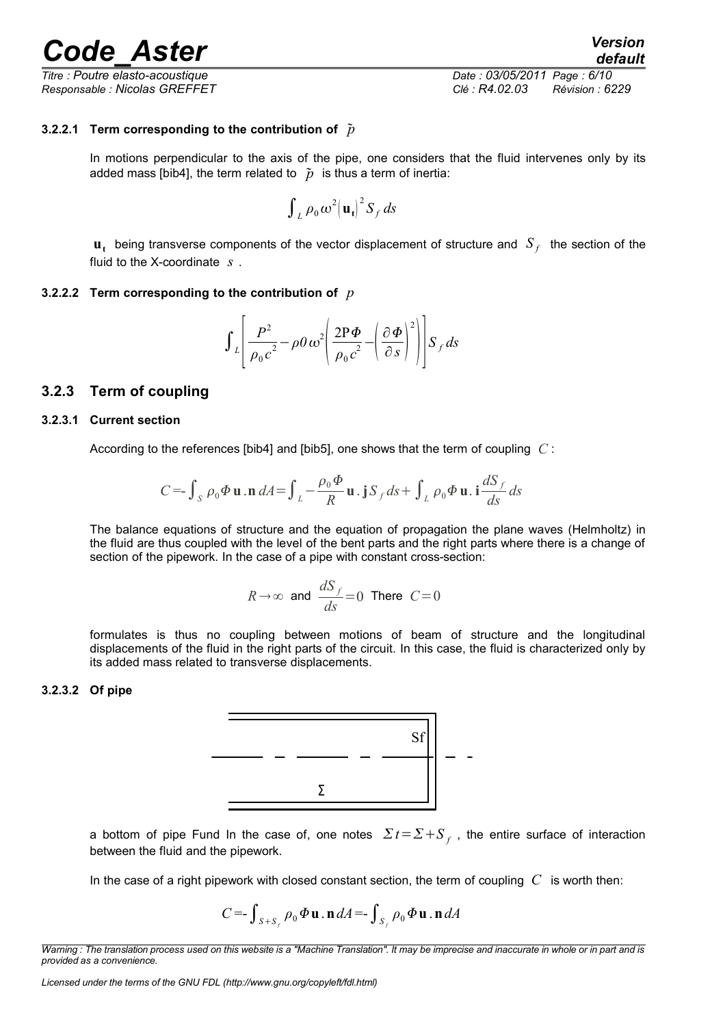*Titre : Poutre elasto-acoustique Date : 03/05/2011 Page : 6/10 Responsable : Nicolas GREFFET Clé : R4.02.03 Révision : 6229*

#### **3.2.2.1 Term corresponding to the contribution of** *p*

<span id="page-5-4"></span>In motions perpendicular to the axis of the pipe, one considers that the fluid intervenes only by its added mass [bib4], the term related to  $\tilde{p}$  is thus a term of inertia:

$$
\int_L \rho_0 \omega^2 |{\bf u}_t|^2 S_f ds
$$

<span id="page-5-3"></span> $\mathbf{u}_t$  being transverse components of the vector displacement of structure and  $|S_f|$  the section of the fluid to the X-coordinate *s* .

#### **3.2.2.2 Term corresponding to the contribution of** *p*

$$
\int_{L}\left[\frac{P^{2}}{\rho_{0}c^{2}}-\rho\theta\omega^{2}\left(\frac{2P\Phi}{\rho_{0}c^{2}}-\left(\frac{\partial\Phi}{\partial s}\right)^{2}\right)\right]S_{f}ds
$$

#### <span id="page-5-2"></span>**3.2.3 Term of coupling**

#### **3.2.3.1 Current section**

<span id="page-5-1"></span>According to the references [bib4] and [bib5], one shows that the term of coupling *C* :

$$
C = -\int_{S} \rho_0 \Phi \mathbf{u} \cdot \mathbf{n} \, dA = \int_{L} -\frac{\rho_0 \Phi}{R} \mathbf{u} \cdot \mathbf{j} \, S_f \, ds + \int_{L} \rho_0 \Phi \mathbf{u} \cdot \mathbf{i} \, \frac{dS_f}{ds} \, ds
$$

The balance equations of structure and the equation of propagation the plane waves (Helmholtz) in the fluid are thus coupled with the level of the bent parts and the right parts where there is a change of section of the pipework. In the case of a pipe with constant cross-section:

$$
R \to \infty
$$
 and  $\frac{dS_f}{ds} = 0$  There  $C = 0$ 

formulates is thus no coupling between motions of beam of structure and the longitudinal displacements of the fluid in the right parts of the circuit. In this case, the fluid is characterized only by its added mass related to transverse displacements.

#### <span id="page-5-0"></span>**3.2.3.2 Of pipe**



a bottom of pipe Fund In the case of, one notes  $\sum t = \sum +S$ <sub>f</sub>, the entire surface of interaction between the fluid and the pipework.

In the case of a right pipework with closed constant section, the term of coupling *C* is worth then:

$$
C = \int_{S+S_f} \rho_0 \Phi \mathbf{u} \cdot \mathbf{n} dA = \int_{S_f} \rho_0 \Phi \mathbf{u} \cdot \mathbf{n} dA
$$

*Warning : The translation process used on this website is a "Machine Translation". It may be imprecise and inaccurate in whole or in part and is provided as a convenience.*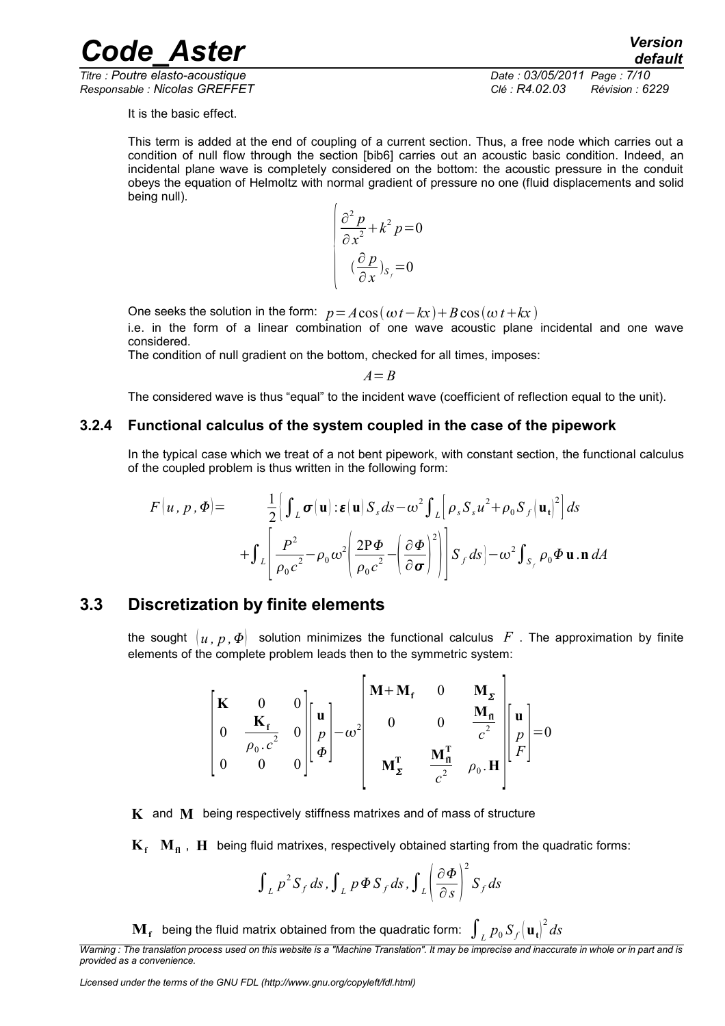*Responsable : Nicolas GREFFET Clé : R4.02.03 Révision : 6229*

*Titre : Poutre elasto-acoustique Date : 03/05/2011 Page : 7/10*

It is the basic effect.

This term is added at the end of coupling of a current section. Thus, a free node which carries out a condition of null flow through the section [bib6] carries out an acoustic basic condition. Indeed, an incidental plane wave is completely considered on the bottom: the acoustic pressure in the conduit obeys the equation of Helmoltz with normal gradient of pressure no one (fluid displacements and solid being null).

$$
\begin{cases}\n\frac{\partial^2 p}{\partial x^2} + k^2 p = 0 \\
\frac{\partial p}{\partial x} \Big|_{S_f} = 0\n\end{cases}
$$

One seeks the solution in the form:  $p = A\cos(\omega t - kx) + B\cos(\omega t + kx)$ 

i.e. in the form of a linear combination of one wave acoustic plane incidental and one wave considered.

The condition of null gradient on the bottom, checked for all times, imposes:

*A*=*B*

<span id="page-6-1"></span>The considered wave is thus "equal" to the incident wave (coefficient of reflection equal to the unit).

#### **3.2.4 Functional calculus of the system coupled in the case of the pipework**

In the typical case which we treat of a not bent pipework, with constant section, the functional calculus of the coupled problem is thus written in the following form:

$$
F(u, p, \Phi) = \frac{1}{2} \Biggl\{ \int_L \sigma(u) : \varepsilon(u) S_s ds - \omega^2 \int_L \Biggl[ \rho_s S_s u^2 + \rho_0 S_f (u_t)^2 \Biggr] ds
$$
  
+ 
$$
\int_L \Biggl[ \frac{P^2}{\rho_0 c^2} - \rho_0 \omega^2 \Biggl( \frac{2P \Phi}{\rho_0 c^2} - \Biggl( \frac{\partial \Phi}{\partial \sigma} \Biggr)^2 \Biggr) \Biggr] S_f ds \Biggr\} - \omega^2 \int_{S_f} \rho_0 \Phi \mathbf{u} \cdot \mathbf{n} dA
$$

### **3.3 Discretization by finite elements**

<span id="page-6-0"></span>the sought  $\{u, p, \Phi\}$  solution minimizes the functional calculus F. The approximation by finite elements of the complete problem leads then to the symmetric system:

$$
\begin{bmatrix}\n\mathbf{K} & 0 & 0 \\
0 & \frac{\mathbf{K}_{\mathbf{f}}}{\rho_0.c^2} & 0 \\
0 & 0 & 0\n\end{bmatrix}\n\begin{bmatrix}\n\mathbf{u} \\
p \\
\varphi\n\end{bmatrix} - \omega^2\n\begin{bmatrix}\n\mathbf{M} + \mathbf{M}_{\mathbf{f}} & 0 & \mathbf{M}_{\mathbf{z}} \\
0 & 0 & \frac{\mathbf{M}_{\mathbf{n}}}{c^2} \\
\mathbf{M}_{\mathbf{z}}^{\mathbf{T}} & \frac{\mathbf{M}_{\mathbf{n}}^{\mathbf{T}}}{c^2} & \rho_0.\mathbf{H}\n\end{bmatrix}\n\begin{bmatrix}\n\mathbf{u} \\
p \\
F\n\end{bmatrix} = 0
$$

**K** and **M** being respectively stiffness matrixes and of mass of structure

 $K_f$   $M_a$ ,  $H$  being fluid matrixes, respectively obtained starting from the quadratic forms:

$$
\int_{L} p^{2} S_{f} ds, \int_{L} p \Phi S_{f} ds, \int_{L} \left( \frac{\partial \Phi}{\partial s} \right)^{2} S_{f} ds
$$

 $\mathbf{M_f}$  being the fluid matrix obtained from the quadratic form:  $\int_L p_0 \, S_f \big(\mathbf{u_t}\big)^2 ds$ 

*Warning : The translation process used on this website is a "Machine Translation". It may be imprecise and inaccurate in whole or in part and is provided as a convenience.*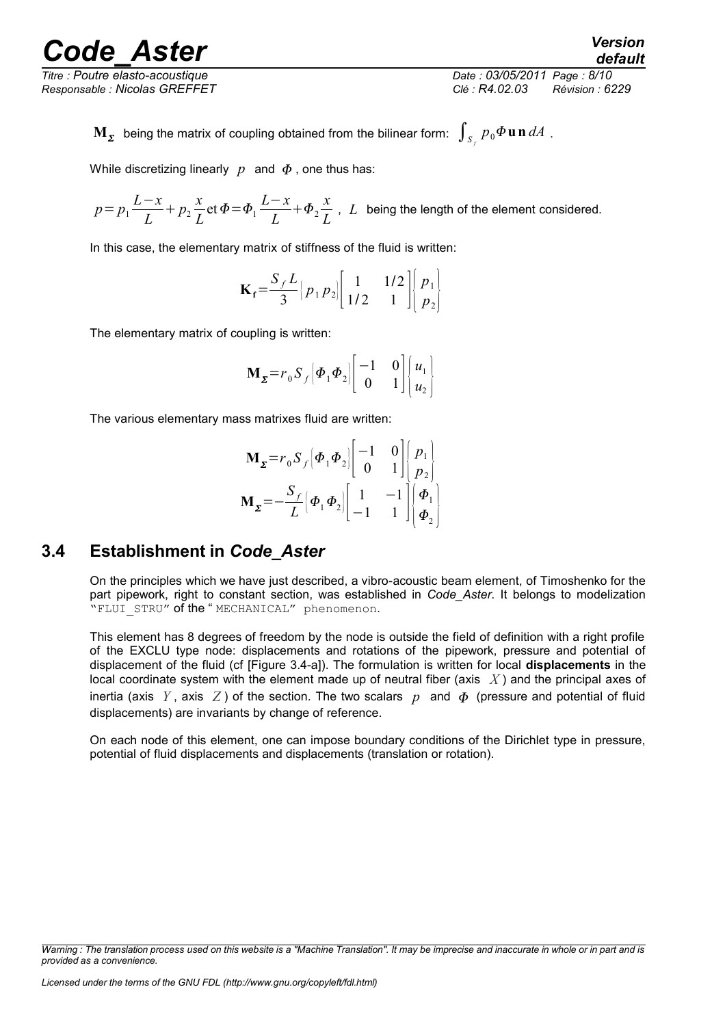*Titre : Poutre elasto-acoustique Date : 03/05/2011 Page : 8/10 Responsable : Nicolas GREFFET Clé : R4.02.03 Révision : 6229*

 $\mathbf{M}_{\boldsymbol{\Sigma}}$  being the matrix of coupling obtained from the bilinear form:  $\int_{S_{f}}p_{0}\boldsymbol{\Phi} \mathbf{u} \,\mathbf{n}\,dA$  .

While discretizing linearly  $p$  and  $\phi$ , one thus has:

 $p = p_1 \frac{L - x}{L}$  $\frac{-x}{L} + p_2 \frac{x}{L}$  $\frac{x}{L}$  et  $\Phi = \Phi_1 \frac{L - x}{L}$  $\frac{-x}{L} + \Phi_2 \frac{x}{L}$  $\frac{\pi}{L}$ , *L* being the length of the element considered.

In this case, the elementary matrix of stiffness of the fluid is written:

$$
\mathbf{K_f} = \frac{S_f L}{3} \begin{bmatrix} p_1 p_2 \end{bmatrix} \begin{bmatrix} 1 & 1/2 \\ 1/2 & 1 \end{bmatrix} \begin{bmatrix} p_1 \\ p_2 \end{bmatrix}
$$

The elementary matrix of coupling is written:

$$
\mathbf{M}_{\Sigma} = r_0 S_f \left[ \boldsymbol{\Phi}_1 \boldsymbol{\Phi}_2 \right] \begin{bmatrix} -1 & 0 \\ 0 & 1 \end{bmatrix} \begin{bmatrix} u_1 \\ u_2 \end{bmatrix}
$$

The various elementary mass matrixes fluid are written:

$$
\mathbf{M}_{\Sigma} = r_0 S_f \left[ \boldsymbol{\Phi}_1 \boldsymbol{\Phi}_2 \right] \begin{bmatrix} -1 & 0 \\ 0 & 1 \end{bmatrix} \begin{bmatrix} p_1 \\ p_2 \end{bmatrix}
$$

$$
\mathbf{M}_{\Sigma} = -\frac{S_f}{L} \left[ \boldsymbol{\Phi}_1 \boldsymbol{\Phi}_2 \right] \begin{bmatrix} 1 & -1 \\ -1 & 1 \end{bmatrix} \begin{bmatrix} \boldsymbol{\Phi}_1 \\ \boldsymbol{\Phi}_2 \end{bmatrix}
$$

## **3.4 Establishment in** *Code\_Aster*

<span id="page-7-0"></span>On the principles which we have just described, a vibro-acoustic beam element, of Timoshenko for the part pipework, right to constant section, was established in *Code\_Aster*. It belongs to modelization "FLUI STRU" of the "MECHANICAL" phenomenon.

This element has 8 degrees of freedom by the node is outside the field of definition with a right profile of the EXCLU type node: displacements and rotations of the pipework, pressure and potential of displacement of the fluid (cf [Figure 3.4-a]). The formulation is written for local **displacements** in the local coordinate system with the element made up of neutral fiber (axis *X* ) and the principal axes of inertia (axis *Y*, axis *Z*) of the section. The two scalars p and  $\Phi$  (pressure and potential of fluid displacements) are invariants by change of reference.

On each node of this element, one can impose boundary conditions of the Dirichlet type in pressure, potential of fluid displacements and displacements (translation or rotation).

*Warning : The translation process used on this website is a "Machine Translation". It may be imprecise and inaccurate in whole or in part and is provided as a convenience.*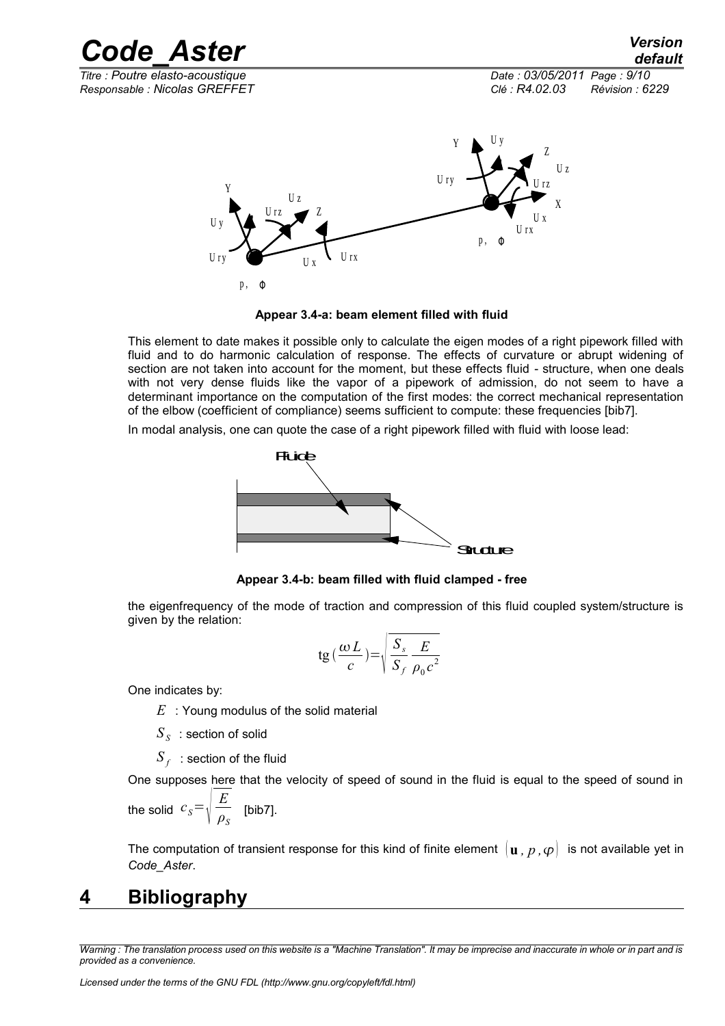

p, **Φ Appear 3.4-a: beam element filled with fluid**

U x

 $U_{\text{ry}}$   $U_{\text{rx}}$   $U_{\text{rx}}$   $U_{\text{rx}}$ 

This element to date makes it possible only to calculate the eigen modes of a right pipework filled with fluid and to do harmonic calculation of response. The effects of curvature or abrupt widening of section are not taken into account for the moment, but these effects fluid - structure, when one deals with not very dense fluids like the vapor of a pipework of admission, do not seem to have a determinant importance on the computation of the first modes: the correct mechanical representation of the elbow (coefficient of compliance) seems sufficient to compute: these frequencies [bib7].

p , <sup>Φ</sup>

U r x

In modal analysis, one can quote the case of a right pipework filled with fluid with loose lead:



**Appear 3.4-b: beam filled with fluid clamped - free**

the eigenfrequency of the mode of traction and compression of this fluid coupled system/structure is given by the relation:

$$
\text{tg}\left(\frac{\omega L}{c}\right) = \sqrt{\frac{S_s}{S_f} \frac{E}{\rho_0 c^2}}
$$

One indicates by:

- *E* : Young modulus of the solid material
- $S_{\overline{S}}\;$  : section of solid
- $S_f^{\parallel}$  : section of the fluid

One supposes here that the velocity of speed of sound in the fluid is equal to the speed of sound in

the solid 
$$
c_s = \sqrt{\frac{E}{\rho_s}}
$$
 [bib7].

<span id="page-8-0"></span>The computation of transient response for this kind of finite element  $[\mathbf{u}, p, \varphi]$  is not available yet in *Code\_Aster*.

## **4 Bibliography**

*Warning : The translation process used on this website is a "Machine Translation". It may be imprecise and inaccurate in whole or in part and is provided as a convenience.*